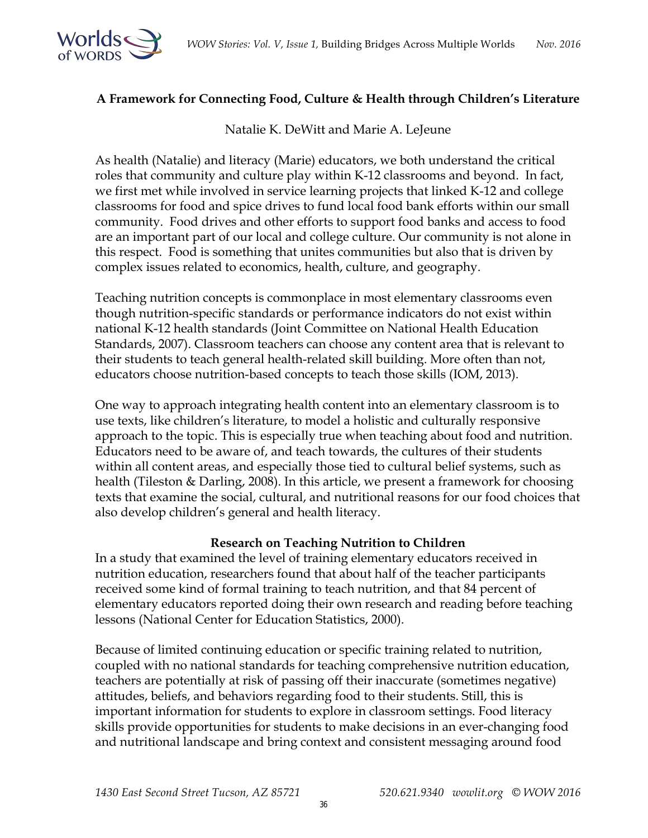

# **A Framework for Connecting Food, Culture & Health through Children's Literature**

Natalie K. DeWitt and Marie A. LeJeune

As health (Natalie) and literacy (Marie) educators, we both understand the critical roles that community and culture play within K-12 classrooms and beyond. In fact, we first met while involved in service learning projects that linked K-12 and college classrooms for food and spice drives to fund local food bank efforts within our small community. Food drives and other efforts to support food banks and access to food are an important part of our local and college culture. Our community is not alone in this respect. Food is something that unites communities but also that is driven by complex issues related to economics, health, culture, and geography.

Teaching nutrition concepts is commonplace in most elementary classrooms even though nutrition-specific standards or performance indicators do not exist within national K-12 health standards (Joint Committee on National Health Education Standards, 2007). Classroom teachers can choose any content area that is relevant to their students to teach general health-related skill building. More often than not, educators choose nutrition-based concepts to teach those skills (IOM, 2013).

One way to approach integrating health content into an elementary classroom is to use texts, like children's literature, to model a holistic and culturally responsive approach to the topic. This is especially true when teaching about food and nutrition. Educators need to be aware of, and teach towards, the cultures of their students within all content areas, and especially those tied to cultural belief systems, such as health (Tileston & Darling, 2008). In this article, we present a framework for choosing texts that examine the social, cultural, and nutritional reasons for our food choices that also develop children's general and health literacy.

## **Research on Teaching Nutrition to Children**

In a study that examined the level of training elementary educators received in nutrition education, researchers found that about half of the teacher participants received some kind of formal training to teach nutrition, and that 84 percent of elementary educators reported doing their own research and reading before teaching lessons (National Center for Education Statistics, 2000).

Because of limited continuing education or specific training related to nutrition, coupled with no national standards for teaching comprehensive nutrition education, teachers are potentially at risk of passing off their inaccurate (sometimes negative) attitudes, beliefs, and behaviors regarding food to their students. Still, this is important information for students to explore in classroom settings. Food literacy skills provide opportunities for students to make decisions in an ever-changing food and nutritional landscape and bring context and consistent messaging around food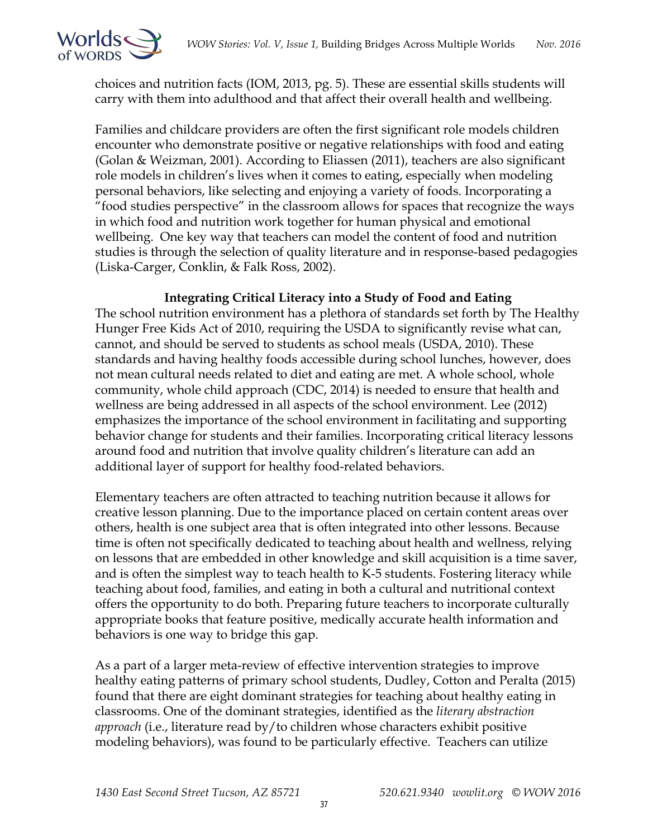

choices and nutrition facts (IOM, 2013, pg. 5). These are essential skills students will carry with them into adulthood and that affect their overall health and wellbeing.

Families and childcare providers are often the first significant role models children encounter who demonstrate positive or negative relationships with food and eating (Golan & Weizman, 2001). According to Eliassen (2011), teachers are also significant role models in children's lives when it comes to eating, especially when modeling personal behaviors, like selecting and enjoying a variety of foods. Incorporating a "food studies perspective" in the classroom allows for spaces that recognize the ways in which food and nutrition work together for human physical and emotional wellbeing. One key way that teachers can model the content of food and nutrition studies is through the selection of quality literature and in response-based pedagogies (Liska-Carger, Conklin, & Falk Ross, 2002).

#### **Integrating Critical Literacy into a Study of Food and Eating**

The school nutrition environment has a plethora of standards set forth by The Healthy Hunger Free Kids Act of 2010, requiring the USDA to significantly revise what can, cannot, and should be served to students as school meals (USDA, 2010). These standards and having healthy foods accessible during school lunches, however, does not mean cultural needs related to diet and eating are met. A whole school, whole community, whole child approach (CDC, 2014) is needed to ensure that health and wellness are being addressed in all aspects of the school environment. Lee (2012) emphasizes the importance of the school environment in facilitating and supporting behavior change for students and their families. Incorporating critical literacy lessons around food and nutrition that involve quality children's literature can add an additional layer of support for healthy food-related behaviors.

Elementary teachers are often attracted to teaching nutrition because it allows for creative lesson planning. Due to the importance placed on certain content areas over others, health is one subject area that is often integrated into other lessons. Because time is often not specifically dedicated to teaching about health and wellness, relying on lessons that are embedded in other knowledge and skill acquisition is a time saver, and is often the simplest way to teach health to K-5 students. Fostering literacy while teaching about food, families, and eating in both a cultural and nutritional context offers the opportunity to do both. Preparing future teachers to incorporate culturally appropriate books that feature positive, medically accurate health information and behaviors is one way to bridge this gap.

As a part of a larger meta-review of effective intervention strategies to improve healthy eating patterns of primary school students, Dudley, Cotton and Peralta (2015) found that there are eight dominant strategies for teaching about healthy eating in classrooms. One of the dominant strategies, identified as the *literary abstraction approach* (i.e., literature read by/to children whose characters exhibit positive modeling behaviors), was found to be particularly effective. Teachers can utilize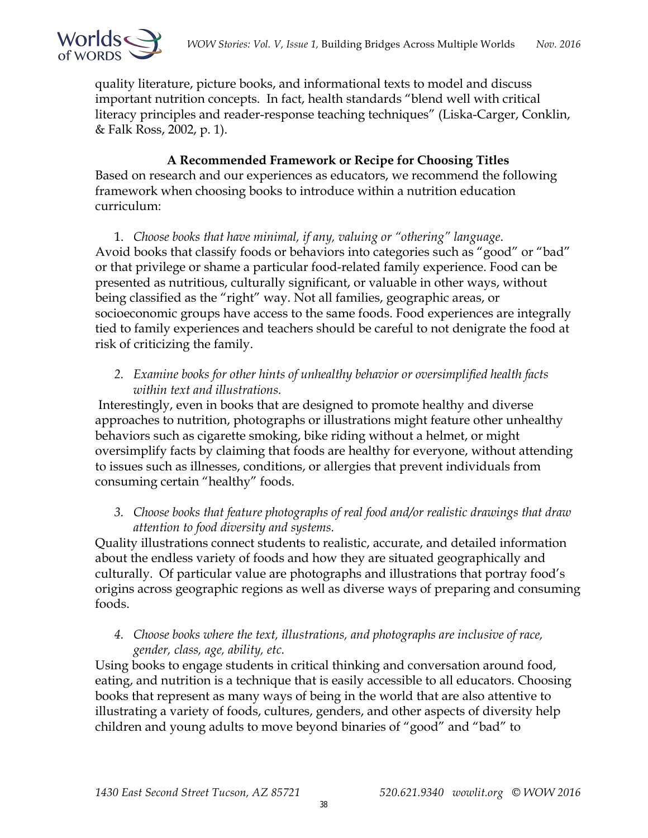

quality literature, picture books, and informational texts to model and discuss important nutrition concepts. In fact, health standards "blend well with critical literacy principles and reader-response teaching techniques" (Liska-Carger, Conklin, & Falk Ross, 2002, p. 1).

### **A Recommended Framework or Recipe for Choosing Titles**

Based on research and our experiences as educators, we recommend the following framework when choosing books to introduce within a nutrition education curriculum:

1. *Choose books that have minimal, if any, valuing or "othering" language*. Avoid books that classify foods or behaviors into categories such as "good" or "bad" or that privilege or shame a particular food-related family experience. Food can be presented as nutritious, culturally significant, or valuable in other ways, without being classified as the "right" way. Not all families, geographic areas, or socioeconomic groups have access to the same foods. Food experiences are integrally tied to family experiences and teachers should be careful to not denigrate the food at risk of criticizing the family.

*2. Examine books for other hints of unhealthy behavior or oversimplified health facts within text and illustrations.*

Interestingly, even in books that are designed to promote healthy and diverse approaches to nutrition, photographs or illustrations might feature other unhealthy behaviors such as cigarette smoking, bike riding without a helmet, or might oversimplify facts by claiming that foods are healthy for everyone, without attending to issues such as illnesses, conditions, or allergies that prevent individuals from consuming certain "healthy" foods.

*3. Choose books that feature photographs of real food and/or realistic drawings that draw attention to food diversity and systems.*

Quality illustrations connect students to realistic, accurate, and detailed information about the endless variety of foods and how they are situated geographically and culturally. Of particular value are photographs and illustrations that portray food's origins across geographic regions as well as diverse ways of preparing and consuming foods.

### *4. Choose books where the text, illustrations, and photographs are inclusive of race, gender, class, age, ability, etc.*

Using books to engage students in critical thinking and conversation around food, eating, and nutrition is a technique that is easily accessible to all educators. Choosing books that represent as many ways of being in the world that are also attentive to illustrating a variety of foods, cultures, genders, and other aspects of diversity help children and young adults to move beyond binaries of "good" and "bad" to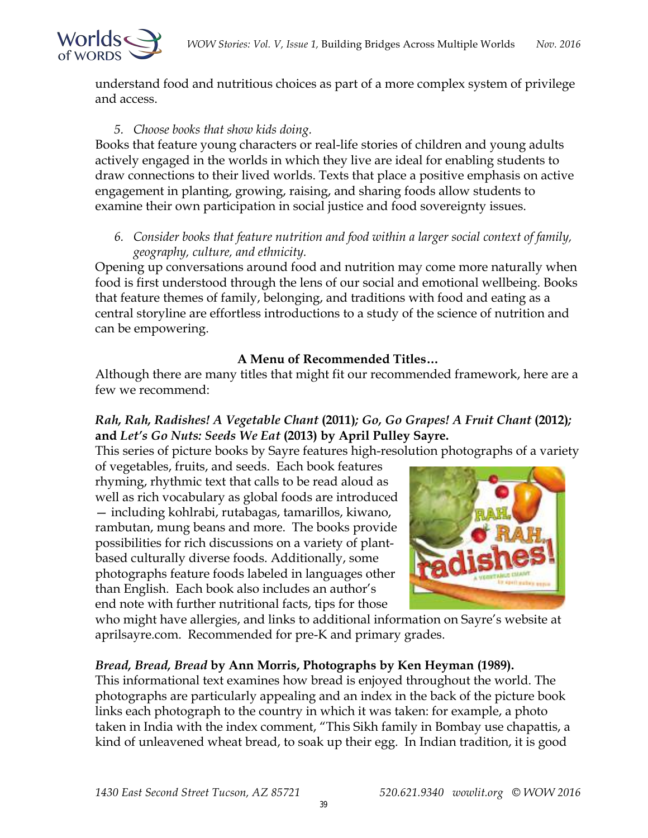

understand food and nutritious choices as part of a more complex system of privilege and access.

## *5. Choose books that show kids doing.*

Books that feature young characters or real-life stories of children and young adults actively engaged in the worlds in which they live are ideal for enabling students to draw connections to their lived worlds. Texts that place a positive emphasis on active engagement in planting, growing, raising, and sharing foods allow students to examine their own participation in social justice and food sovereignty issues.

*6. Consider books that feature nutrition and food within a larger social context of family, geography, culture, and ethnicity.*

Opening up conversations around food and nutrition may come more naturally when food is first understood through the lens of our social and emotional wellbeing. Books that feature themes of family, belonging, and traditions with food and eating as a central storyline are effortless introductions to a study of the science of nutrition and can be empowering.

### **A Menu of Recommended Titles…**

Although there are many titles that might fit our recommended framework, here are a few we recommend:

# *Rah, Rah, Radishes! A Vegetable Chant* **(2011)***; Go, Go Grapes! A Fruit Chant* **(2012)***;*  **and** *Let's Go Nuts: Seeds We Eat* **(2013) by April Pulley Sayre.**

This series of picture books by Sayre features high-resolution photographs of a variety

of vegetables, fruits, and seeds. Each book features rhyming, rhythmic text that calls to be read aloud as well as rich vocabulary as global foods are introduced — including kohlrabi, rutabagas, tamarillos, kiwano, rambutan, mung beans and more. The books provide possibilities for rich discussions on a variety of plantbased culturally diverse foods. Additionally, some photographs feature foods labeled in languages other than English. Each book also includes an author's end note with further nutritional facts, tips for those



who might have allergies, and links to additional information on Sayre's website at aprilsayre.com. Recommended for pre-K and primary grades.

## *Bread, Bread, Bread* **by Ann Morris, Photographs by Ken Heyman (1989).**

This informational text examines how bread is enjoyed throughout the world. The photographs are particularly appealing and an index in the back of the picture book links each photograph to the country in which it was taken: for example, a photo taken in India with the index comment, "This Sikh family in Bombay use chapattis, a kind of unleavened wheat bread, to soak up their egg. In Indian tradition, it is good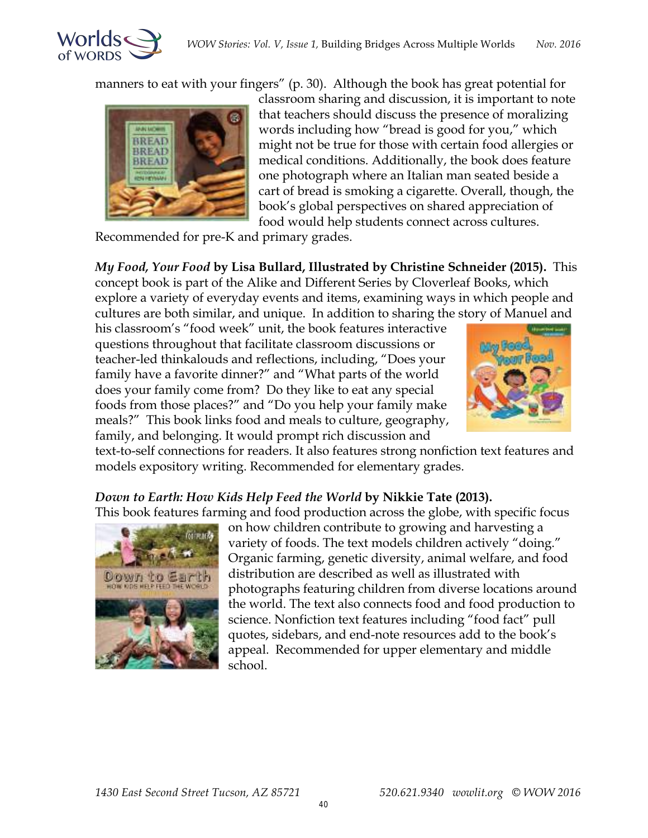

manners to eat with your fingers" (p. 30). Although the book has great potential for



classroom sharing and discussion, it is important to note that teachers should discuss the presence of moralizing words including how "bread is good for you," which might not be true for those with certain food allergies or medical conditions. Additionally, the book does feature one photograph where an Italian man seated beside a cart of bread is smoking a cigarette. Overall, though, the book's global perspectives on shared appreciation of food would help students connect across cultures.

Recommended for pre-K and primary grades.

*My Food, Your Food* **by Lisa Bullard, Illustrated by Christine Schneider (2015).** This concept book is part of the Alike and Different Series by Cloverleaf Books, which explore a variety of everyday events and items, examining ways in which people and cultures are both similar, and unique. In addition to sharing the story of Manuel and

his classroom's "food week" unit, the book features interactive questions throughout that facilitate classroom discussions or teacher-led thinkalouds and reflections, including, "Does your family have a favorite dinner?" and "What parts of the world does your family come from? Do they like to eat any special foods from those places?" and "Do you help your family make meals?" This book links food and meals to culture, geography, family, and belonging. It would prompt rich discussion and



text-to-self connections for readers. It also features strong nonfiction text features and models expository writing. Recommended for elementary grades.

## *Down to Earth: How Kids Help Feed the World* **by Nikkie Tate (2013).**



on how children contribute to growing and harvesting a variety of foods. The text models children actively "doing." Organic farming, genetic diversity, animal welfare, and food distribution are described as well as illustrated with photographs featuring children from diverse locations around the world. The text also connects food and food production to science. Nonfiction text features including "food fact" pull quotes, sidebars, and end-note resources add to the book's appeal. Recommended for upper elementary and middle school.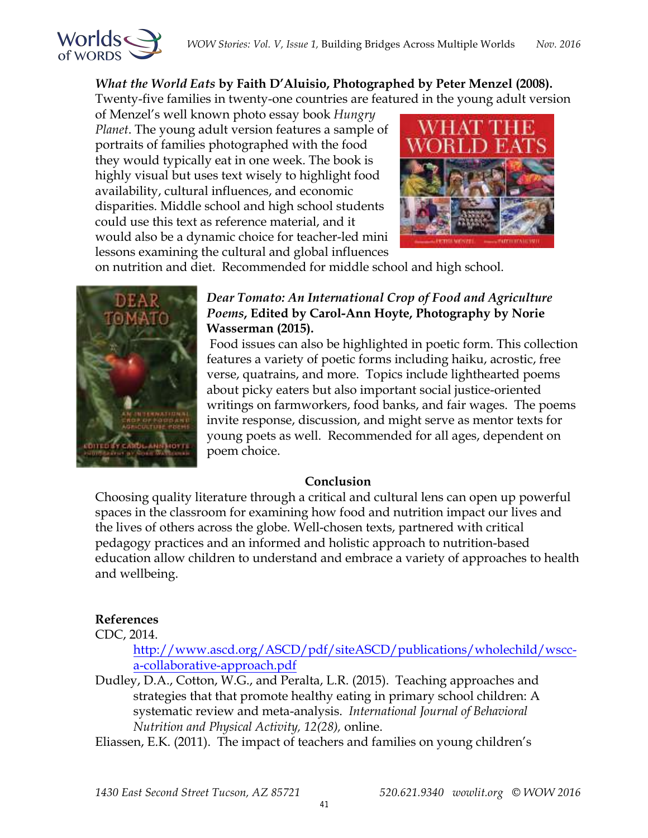

# *What the World Eats* **by Faith D'Aluisio, Photographed by Peter Menzel (2008).**

Twenty-five families in twenty-one countries are featured in the young adult version

of Menzel's well known photo essay book *Hungry Planet*. The young adult version features a sample of portraits of families photographed with the food they would typically eat in one week. The book is highly visual but uses text wisely to highlight food availability, cultural influences, and economic disparities. Middle school and high school students could use this text as reference material, and it would also be a dynamic choice for teacher-led mini lessons examining the cultural and global influences



on nutrition and diet. Recommended for middle school and high school.



### *Dear Tomato: An International Crop of Food and Agriculture Poems***, Edited by Carol-Ann Hoyte, Photography by Norie Wasserman (2015).**

 Food issues can also be highlighted in poetic form. This collection features a variety of poetic forms including haiku, acrostic, free verse, quatrains, and more. Topics include lighthearted poems about picky eaters but also important social justice-oriented writings on farmworkers, food banks, and fair wages. The poems invite response, discussion, and might serve as mentor texts for young poets as well. Recommended for all ages, dependent on poem choice.

## **Conclusion**

Choosing quality literature through a critical and cultural lens can open up powerful spaces in the classroom for examining how food and nutrition impact our lives and the lives of others across the globe. Well-chosen texts, partnered with critical pedagogy practices and an informed and holistic approach to nutrition-based education allow children to understand and embrace a variety of approaches to health and wellbeing.

## **References**

CDC, 2014.

[http://www](http://www.ascd.org/ASCD/pdf/siteASCD/publications/wholechild/wscc-a-collaborative-approach.pdf).ascd.org/ASCD/pdf/siteASCD/publications/wholechild/wscc[a-collaborative-approach.pdf](http://www.ascd.org/ASCD/pdf/siteASCD/publications/wholechild/wscc-a-collaborative-approach.pdf)

Dudle[y, D.A., Cotton, W.G., and Peral](http://www.ascd.org/ASCD/pdf/siteASCD/publications/wholechild/wscc-a-collaborative-approach.pdf)ta, L.R. (2015). Teaching approaches and strategies that that promote healthy eating in primary school children: A systematic review and meta-analysis. *International Journal of Behavioral Nutrition and Physical Activity, 12(28),* online.

Eliassen, E.K. (2011). The impact of teachers and families on young children's